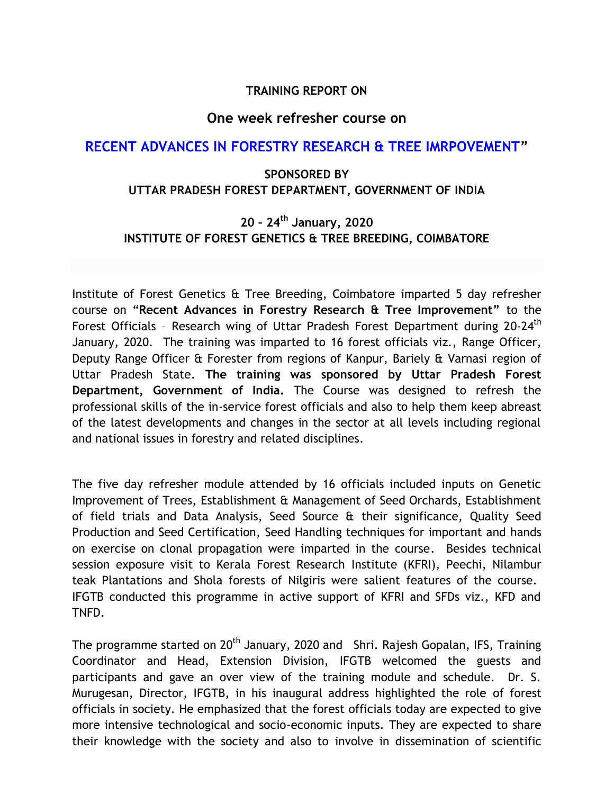#### **TRAINING REPORT ON**

#### **One week refresher course on**

## **RECENT ADVANCES IN FORESTRY RESEARCH & TREE IMRPOVEMENT"**

## **SPONSORED BY UTTAR PRADESH FOREST DEPARTMENT, GOVERNMENT OF INDIA**

# **20 – 24th January, 2020 INSTITUTE OF FOREST GENETICS & TREE BREEDING, COIMBATORE**

Institute of Forest Genetics & Tree Breeding, Coimbatore imparted 5 day refresher course on "**Recent Advances in Forestry Research & Tree Improvement"** to the Forest Officials - Research wing of Uttar Pradesh Forest Department during 20-24<sup>th</sup> January, 2020. The training was imparted to 16 forest officials viz., Range Officer, Deputy Range Officer & Forester from regions of Kanpur, Bariely & Varnasi region of Uttar Pradesh State. **The training was sponsored by Uttar Pradesh Forest Department, Government of India.** The Course was designed to refresh the professional skills of the in-service forest officials and also to help them keep abreast of the latest developments and changes in the sector at all levels including regional and national issues in forestry and related disciplines.

The five day refresher module attended by 16 officials included inputs on Genetic Improvement of Trees, Establishment & Management of Seed Orchards, Establishment of field trials and Data Analysis, Seed Source & their significance, Quality Seed Production and Seed Certification, Seed Handling techniques for important and hands on exercise on clonal propagation were imparted in the course. Besides technical session exposure visit to Kerala Forest Research Institute (KFRI), Peechi, Nilambur teak Plantations and Shola forests of Nilgiris were salient features of the course. IFGTB conducted this programme in active support of KFRI and SFDs viz., KFD and TNFD.

The programme started on 20<sup>th</sup> January, 2020 and Shri. Rajesh Gopalan, IFS, Training Coordinator and Head, Extension Division, IFGTB welcomed the guests and participants and gave an over view of the training module and schedule. Dr. S. Murugesan, Director, IFGTB, in his inaugural address highlighted the role of forest officials in society. He emphasized that the forest officials today are expected to give more intensive technological and socio-economic inputs. They are expected to share their knowledge with the society and also to involve in dissemination of scientific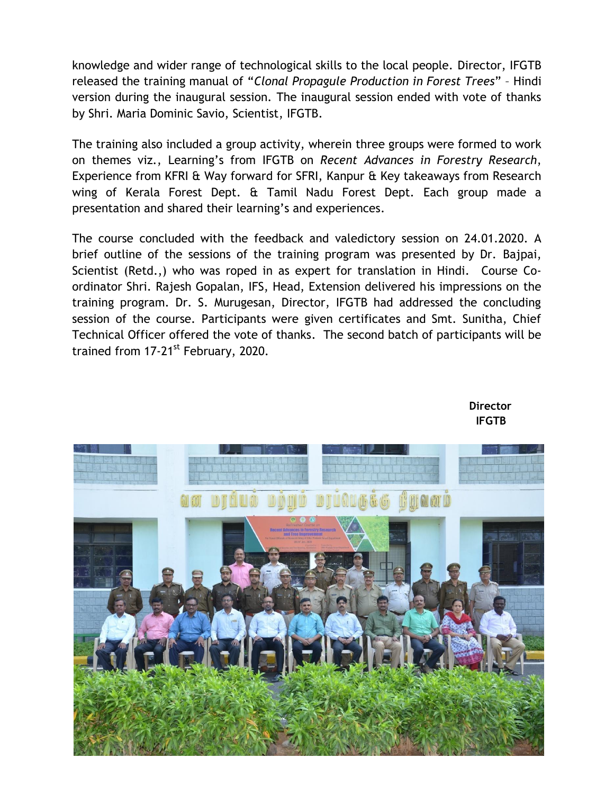knowledge and wider range of technological skills to the local people. Director, IFGTB released the training manual of "*Clonal Propagule Production in Forest Trees*" – Hindi version during the inaugural session. The inaugural session ended with vote of thanks by Shri. Maria Dominic Savio, Scientist, IFGTB.

The training also included a group activity, wherein three groups were formed to work on themes viz., Learning's from IFGTB on *Recent Advances in Forestry Research*, Experience from KFRI & Way forward for SFRI, Kanpur & Key takeaways from Research wing of Kerala Forest Dept. & Tamil Nadu Forest Dept. Each group made a presentation and shared their learning's and experiences.

The course concluded with the feedback and valedictory session on 24.01.2020. A brief outline of the sessions of the training program was presented by Dr. Bajpai, Scientist (Retd.,) who was roped in as expert for translation in Hindi. Course Coordinator Shri. Rajesh Gopalan, IFS, Head, Extension delivered his impressions on the training program. Dr. S. Murugesan, Director, IFGTB had addressed the concluding session of the course. Participants were given certificates and Smt. Sunitha, Chief Technical Officer offered the vote of thanks. The second batch of participants will be trained from 17-21<sup>st</sup> February, 2020.



**Director IFGTB**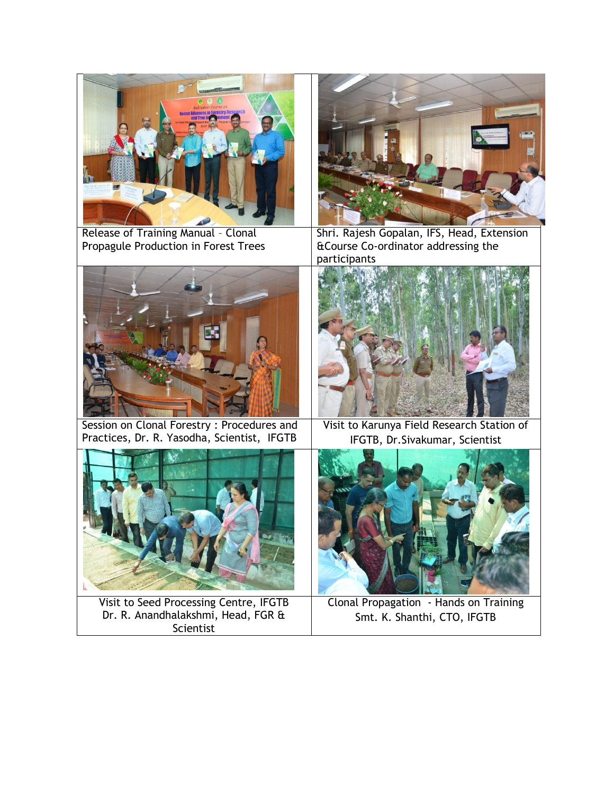